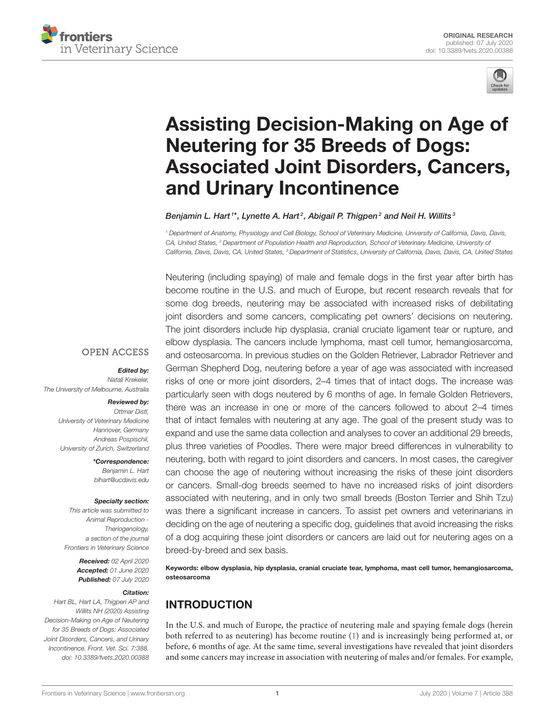



# Assisting Decision-Making on Age of Neutering for 35 Breeds of Dogs: [Associated Joint Disorders, Cancers,](https://www.frontiersin.org/articles/10.3389/fvets.2020.00388/full) and Urinary Incontinence

[Benjamin L. Hart](http://loop.frontiersin.org/people/244803/overview)  $^{\text{\tiny{\textsf{1}}} *}$ , [Lynette A. Hart](http://loop.frontiersin.org/people/52225/overview)  $^{\text{\tiny{\textsf{2}}}}$ , [Abigail P. Thigpen](http://loop.frontiersin.org/people/257292/overview)  $^{\text{\tiny{\textsf{2}}}}$  and [Neil H. Willits](http://loop.frontiersin.org/people/284775/overview)  $^{\text{\tiny{\textsf{3}}}}$ 

*<sup>1</sup> Department of Anatomy, Physiology and Cell Biology, School of Veterinary Medicine, University of California, Davis, Davis, CA, United States, <sup>2</sup> Department of Population Health and Reproduction, School of Veterinary Medicine, University of California, Davis, Davis, CA, United States, <sup>3</sup> Department of Statistics, University of California, Davis, Davis, CA, United States*

Neutering (including spaying) of male and female dogs in the first year after birth has become routine in the U.S. and much of Europe, but recent research reveals that for some dog breeds, neutering may be associated with increased risks of debilitating joint disorders and some cancers, complicating pet owners' decisions on neutering. The joint disorders include hip dysplasia, cranial cruciate ligament tear or rupture, and elbow dysplasia. The cancers include lymphoma, mast cell tumor, hemangiosarcoma, and osteosarcoma. In previous studies on the Golden Retriever, Labrador Retriever and German Shepherd Dog, neutering before a year of age was associated with increased risks of one or more joint disorders, 2–4 times that of intact dogs. The increase was particularly seen with dogs neutered by 6 months of age. In female Golden Retrievers, there was an increase in one or more of the cancers followed to about 2–4 times that of intact females with neutering at any age. The goal of the present study was to expand and use the same data collection and analyses to cover an additional 29 breeds, plus three varieties of Poodles. There were major breed differences in vulnerability to neutering, both with regard to joint disorders and cancers. In most cases, the caregiver can choose the age of neutering without increasing the risks of these joint disorders or cancers. Small-dog breeds seemed to have no increased risks of joint disorders associated with neutering, and in only two small breeds (Boston Terrier and Shih Tzu) was there a significant increase in cancers. To assist pet owners and veterinarians in deciding on the age of neutering a specific dog, guidelines that avoid increasing the risks of a dog acquiring these joint disorders or cancers are laid out for neutering ages on a breed-by-breed and sex basis.

Keywords: elbow dysplasia, hip dysplasia, cranial cruciate tear, lymphoma, mast cell tumor, hemangiosarcoma, osteosarcoma

# INTRODUCTION

In the U.S. and much of Europe, the practice of neutering male and spaying female dogs (herein both referred to as neutering) has become routine [\(1\)](#page-13-0) and is increasingly being performed at, or before, 6 months of age. At the same time, several investigations have revealed that joint disorders and some cancers may increase in association with neutering of males and/or females. For example,

#### **OPEN ACCESS**

#### Edited by:

*Natali Krekeler, The University of Melbourne, Australia*

#### Reviewed by:

*Ottmar Distl, University of Veterinary Medicine Hannover, Germany Andreas Pospischil, University of Zurich, Switzerland*

> \*Correspondence: *Benjamin L. Hart [blhart@ucdavis.edu](mailto:blhart@ucdavis.edu)*

#### Specialty section:

*This article was submitted to Animal Reproduction - Theriogenology, a section of the journal Frontiers in Veterinary Science*

> Received: *02 April 2020* Accepted: *01 June 2020* Published: *07 July 2020*

#### Citation:

*Hart BL, Hart LA, Thigpen AP and Willits NH (2020) Assisting Decision-Making on Age of Neutering for 35 Breeds of Dogs: Associated Joint Disorders, Cancers, and Urinary Incontinence. Front. Vet. Sci. 7:388. doi: [10.3389/fvets.2020.00388](https://doi.org/10.3389/fvets.2020.00388)*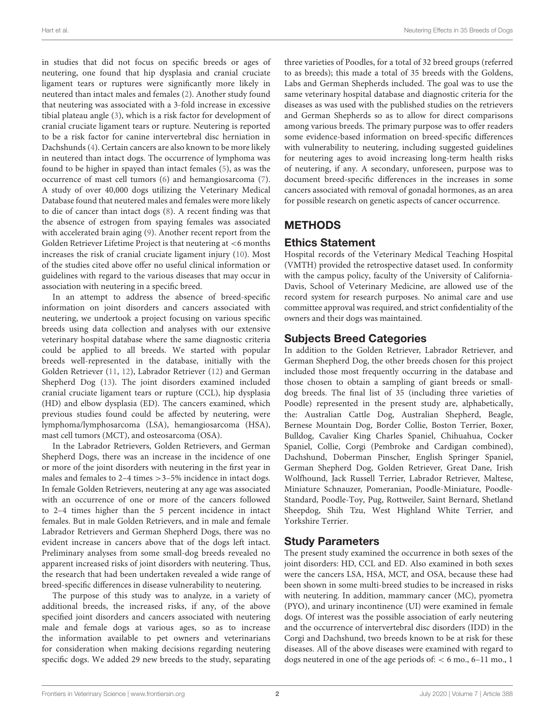in studies that did not focus on specific breeds or ages of neutering, one found that hip dysplasia and cranial cruciate ligament tears or ruptures were significantly more likely in neutered than intact males and females [\(2\)](#page-13-1). Another study found that neutering was associated with a 3-fold increase in excessive tibial plateau angle [\(3\)](#page-13-2), which is a risk factor for development of cranial cruciate ligament tears or rupture. Neutering is reported to be a risk factor for canine intervertebral disc herniation in Dachshunds [\(4\)](#page-13-3). Certain cancers are also known to be more likely in neutered than intact dogs. The occurrence of lymphoma was found to be higher in spayed than intact females [\(5\)](#page-13-4), as was the occurrence of mast cell tumors [\(6\)](#page-13-5) and hemangiosarcoma [\(7\)](#page-13-6). A study of over 40,000 dogs utilizing the Veterinary Medical Database found that neutered males and females were more likely to die of cancer than intact dogs [\(8\)](#page-13-7). A recent finding was that the absence of estrogen from spaying females was associated with accelerated brain aging [\(9\)](#page-13-8). Another recent report from the Golden Retriever Lifetime Project is that neutering at <6 months increases the risk of cranial cruciate ligament injury [\(10\)](#page-13-9). Most of the studies cited above offer no useful clinical information or guidelines with regard to the various diseases that may occur in association with neutering in a specific breed.

In an attempt to address the absence of breed-specific information on joint disorders and cancers associated with neutering, we undertook a project focusing on various specific breeds using data collection and analyses with our extensive veterinary hospital database where the same diagnostic criteria could be applied to all breeds. We started with popular breeds well-represented in the database, initially with the Golden Retriever [\(11,](#page-13-10) [12\)](#page-13-11), Labrador Retriever [\(12\)](#page-13-11) and German Shepherd Dog [\(13\)](#page-13-12). The joint disorders examined included cranial cruciate ligament tears or rupture (CCL), hip dysplasia (HD) and elbow dysplasia (ED). The cancers examined, which previous studies found could be affected by neutering, were lymphoma/lymphosarcoma (LSA), hemangiosarcoma (HSA), mast cell tumors (MCT), and osteosarcoma (OSA).

In the Labrador Retrievers, Golden Retrievers, and German Shepherd Dogs, there was an increase in the incidence of one or more of the joint disorders with neutering in the first year in males and females to 2–4 times > 3–5% incidence in intact dogs. In female Golden Retrievers, neutering at any age was associated with an occurrence of one or more of the cancers followed to 2–4 times higher than the 5 percent incidence in intact females. But in male Golden Retrievers, and in male and female Labrador Retrievers and German Shepherd Dogs, there was no evident increase in cancers above that of the dogs left intact. Preliminary analyses from some small-dog breeds revealed no apparent increased risks of joint disorders with neutering. Thus, the research that had been undertaken revealed a wide range of breed-specific differences in disease vulnerability to neutering.

The purpose of this study was to analyze, in a variety of additional breeds, the increased risks, if any, of the above specified joint disorders and cancers associated with neutering male and female dogs at various ages, so as to increase the information available to pet owners and veterinarians for consideration when making decisions regarding neutering specific dogs. We added 29 new breeds to the study, separating three varieties of Poodles, for a total of 32 breed groups (referred to as breeds); this made a total of 35 breeds with the Goldens, Labs and German Shepherds included. The goal was to use the same veterinary hospital database and diagnostic criteria for the diseases as was used with the published studies on the retrievers and German Shepherds so as to allow for direct comparisons among various breeds. The primary purpose was to offer readers some evidence-based information on breed-specific differences with vulnerability to neutering, including suggested guidelines for neutering ages to avoid increasing long-term health risks of neutering, if any. A secondary, unforeseen, purpose was to document breed-specific differences in the increases in some cancers associated with removal of gonadal hormones, as an area for possible research on genetic aspects of cancer occurrence.

# **METHODS**

# Ethics Statement

Hospital records of the Veterinary Medical Teaching Hospital (VMTH) provided the retrospective dataset used. In conformity with the campus policy, faculty of the University of California-Davis, School of Veterinary Medicine, are allowed use of the record system for research purposes. No animal care and use committee approval was required, and strict confidentiality of the owners and their dogs was maintained.

### Subjects Breed Categories

In addition to the Golden Retriever, Labrador Retriever, and German Shepherd Dog, the other breeds chosen for this project included those most frequently occurring in the database and those chosen to obtain a sampling of giant breeds or smalldog breeds. The final list of 35 (including three varieties of Poodle) represented in the present study are, alphabetically, the: Australian Cattle Dog, Australian Shepherd, Beagle, Bernese Mountain Dog, Border Collie, Boston Terrier, Boxer, Bulldog, Cavalier King Charles Spaniel, Chihuahua, Cocker Spaniel, Collie, Corgi (Pembroke and Cardigan combined), Dachshund, Doberman Pinscher, English Springer Spaniel, German Shepherd Dog, Golden Retriever, Great Dane, Irish Wolfhound, Jack Russell Terrier, Labrador Retriever, Maltese, Miniature Schnauzer, Pomeranian, Poodle-Miniature, Poodle-Standard, Poodle-Toy, Pug, Rottweiler, Saint Bernard, Shetland Sheepdog, Shih Tzu, West Highland White Terrier, and Yorkshire Terrier.

### Study Parameters

The present study examined the occurrence in both sexes of the joint disorders: HD, CCL and ED. Also examined in both sexes were the cancers LSA, HSA, MCT, and OSA, because these had been shown in some multi-breed studies to be increased in risks with neutering. In addition, mammary cancer (MC), pyometra (PYO), and urinary incontinence (UI) were examined in female dogs. Of interest was the possible association of early neutering and the occurrence of intervertebral disc disorders (IDD) in the Corgi and Dachshund, two breeds known to be at risk for these diseases. All of the above diseases were examined with regard to dogs neutered in one of the age periods of: < 6 mo., 6–11 mo., 1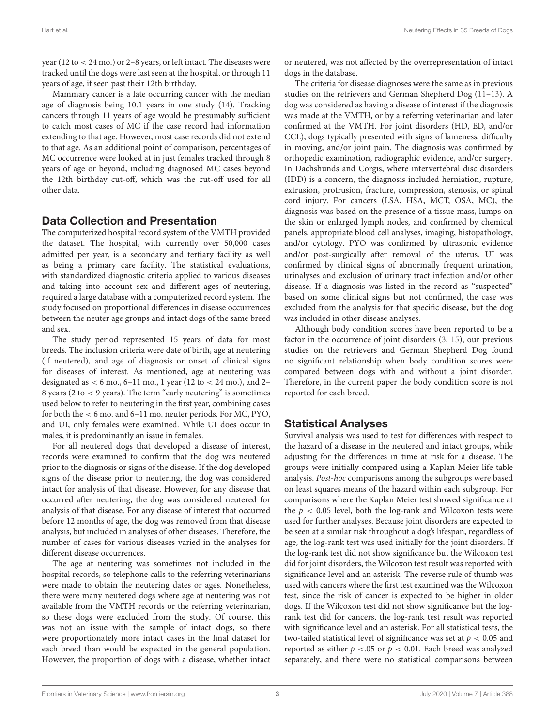year (12 to < 24 mo.) or 2–8 years, or left intact. The diseases were tracked until the dogs were last seen at the hospital, or through 11 years of age, if seen past their 12th birthday.

Mammary cancer is a late occurring cancer with the median age of diagnosis being 10.1 years in one study [\(14\)](#page-13-13). Tracking cancers through 11 years of age would be presumably sufficient to catch most cases of MC if the case record had information extending to that age. However, most case records did not extend to that age. As an additional point of comparison, percentages of MC occurrence were looked at in just females tracked through 8 years of age or beyond, including diagnosed MC cases beyond the 12th birthday cut-off, which was the cut-off used for all other data.

#### Data Collection and Presentation

The computerized hospital record system of the VMTH provided the dataset. The hospital, with currently over 50,000 cases admitted per year, is a secondary and tertiary facility as well as being a primary care facility. The statistical evaluations, with standardized diagnostic criteria applied to various diseases and taking into account sex and different ages of neutering, required a large database with a computerized record system. The study focused on proportional differences in disease occurrences between the neuter age groups and intact dogs of the same breed and sex.

The study period represented 15 years of data for most breeds. The inclusion criteria were date of birth, age at neutering (if neutered), and age of diagnosis or onset of clinical signs for diseases of interest. As mentioned, age at neutering was designated as  $< 6$  mo.,  $6-11$  mo., 1 year (12 to  $< 24$  mo.), and 2-8 years (2 to  $<$  9 years). The term "early neutering" is sometimes used below to refer to neutering in the first year, combining cases for both the < 6 mo. and 6–11 mo. neuter periods. For MC, PYO, and UI, only females were examined. While UI does occur in males, it is predominantly an issue in females.

For all neutered dogs that developed a disease of interest, records were examined to confirm that the dog was neutered prior to the diagnosis or signs of the disease. If the dog developed signs of the disease prior to neutering, the dog was considered intact for analysis of that disease. However, for any disease that occurred after neutering, the dog was considered neutered for analysis of that disease. For any disease of interest that occurred before 12 months of age, the dog was removed from that disease analysis, but included in analyses of other diseases. Therefore, the number of cases for various diseases varied in the analyses for different disease occurrences.

The age at neutering was sometimes not included in the hospital records, so telephone calls to the referring veterinarians were made to obtain the neutering dates or ages. Nonetheless, there were many neutered dogs where age at neutering was not available from the VMTH records or the referring veterinarian, so these dogs were excluded from the study. Of course, this was not an issue with the sample of intact dogs, so there were proportionately more intact cases in the final dataset for each breed than would be expected in the general population. However, the proportion of dogs with a disease, whether intact or neutered, was not affected by the overrepresentation of intact dogs in the database.

The criteria for disease diagnoses were the same as in previous studies on the retrievers and German Shepherd Dog [\(11–](#page-13-10)[13\)](#page-13-12). A dog was considered as having a disease of interest if the diagnosis was made at the VMTH, or by a referring veterinarian and later confirmed at the VMTH. For joint disorders (HD, ED, and/or CCL), dogs typically presented with signs of lameness, difficulty in moving, and/or joint pain. The diagnosis was confirmed by orthopedic examination, radiographic evidence, and/or surgery. In Dachshunds and Corgis, where intervertebral disc disorders (IDD) is a concern, the diagnosis included herniation, rupture, extrusion, protrusion, fracture, compression, stenosis, or spinal cord injury. For cancers (LSA, HSA, MCT, OSA, MC), the diagnosis was based on the presence of a tissue mass, lumps on the skin or enlarged lymph nodes, and confirmed by chemical panels, appropriate blood cell analyses, imaging, histopathology, and/or cytology. PYO was confirmed by ultrasonic evidence and/or post-surgically after removal of the uterus. UI was confirmed by clinical signs of abnormally frequent urination, urinalyses and exclusion of urinary tract infection and/or other disease. If a diagnosis was listed in the record as "suspected" based on some clinical signs but not confirmed, the case was excluded from the analysis for that specific disease, but the dog was included in other disease analyses.

Although body condition scores have been reported to be a factor in the occurrence of joint disorders [\(3,](#page-13-2) [15\)](#page-13-14), our previous studies on the retrievers and German Shepherd Dog found no significant relationship when body condition scores were compared between dogs with and without a joint disorder. Therefore, in the current paper the body condition score is not reported for each breed.

### Statistical Analyses

Survival analysis was used to test for differences with respect to the hazard of a disease in the neutered and intact groups, while adjusting for the differences in time at risk for a disease. The groups were initially compared using a Kaplan Meier life table analysis. Post-hoc comparisons among the subgroups were based on least squares means of the hazard within each subgroup. For comparisons where the Kaplan Meier test showed significance at the  $p < 0.05$  level, both the log-rank and Wilcoxon tests were used for further analyses. Because joint disorders are expected to be seen at a similar risk throughout a dog's lifespan, regardless of age, the log-rank test was used initially for the joint disorders. If the log-rank test did not show significance but the Wilcoxon test did for joint disorders, the Wilcoxon test result was reported with significance level and an asterisk. The reverse rule of thumb was used with cancers where the first test examined was the Wilcoxon test, since the risk of cancer is expected to be higher in older dogs. If the Wilcoxon test did not show significance but the logrank test did for cancers, the log-rank test result was reported with significance level and an asterisk. For all statistical tests, the two-tailed statistical level of significance was set at  $p < 0.05$  and reported as either  $p < 0.05$  or  $p < 0.01$ . Each breed was analyzed separately, and there were no statistical comparisons between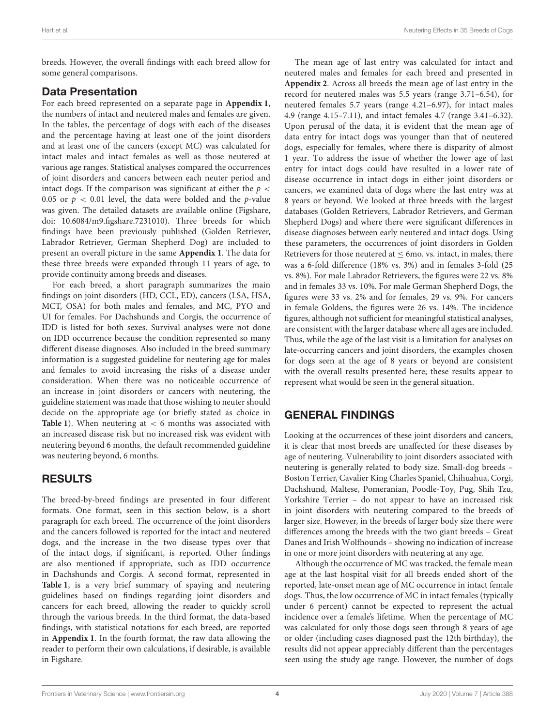breeds. However, the overall findings with each breed allow for some general comparisons.

#### Data Presentation

For each breed represented on a separate page in **[Appendix 1](#page-12-0)**, the numbers of intact and neutered males and females are given. In the tables, the percentage of dogs with each of the diseases and the percentage having at least one of the joint disorders and at least one of the cancers (except MC) was calculated for intact males and intact females as well as those neutered at various age ranges. Statistical analyses compared the occurrences of joint disorders and cancers between each neuter period and intact dogs. If the comparison was significant at either the  $p <$ 0.05 or  $p < 0.01$  level, the data were bolded and the p-value was given. The detailed datasets are available online (Figshare, doi: [10.6084/m9.figshare.7231010\)](https://doi.org/10.6084/m9.figshare.7231010). Three breeds for which findings have been previously published (Golden Retriever, Labrador Retriever, German Shepherd Dog) are included to present an overall picture in the same **[Appendix 1](#page-12-0)**. The data for these three breeds were expanded through 11 years of age, to provide continuity among breeds and diseases.

For each breed, a short paragraph summarizes the main findings on joint disorders (HD, CCL, ED), cancers (LSA, HSA, MCT, OSA) for both males and females, and MC, PYO and UI for females. For Dachshunds and Corgis, the occurrence of IDD is listed for both sexes. Survival analyses were not done on IDD occurrence because the condition represented so many different disease diagnoses. Also included in the breed summary information is a suggested guideline for neutering age for males and females to avoid increasing the risks of a disease under consideration. When there was no noticeable occurrence of an increase in joint disorders or cancers with neutering, the guideline statement was made that those wishing to neuter should decide on the appropriate age (or briefly stated as choice in **[Table 1](#page-4-0)**). When neutering at < 6 months was associated with an increased disease risk but no increased risk was evident with neutering beyond 6 months, the default recommended guideline was neutering beyond, 6 months.

# RESULTS

The breed-by-breed findings are presented in four different formats. One format, seen in this section below, is a short paragraph for each breed. The occurrence of the joint disorders and the cancers followed is reported for the intact and neutered dogs, and the increase in the two disease types over that of the intact dogs, if significant, is reported. Other findings are also mentioned if appropriate, such as IDD occurrence in Dachshunds and Corgis. A second format, represented in **[Table 1](#page-4-0)**, is a very brief summary of spaying and neutering guidelines based on findings regarding joint disorders and cancers for each breed, allowing the reader to quickly scroll through the various breeds. In the third format, the data-based findings, with statistical notations for each breed, are reported in **[Appendix 1](#page-12-0)**. In the fourth format, the raw data allowing the reader to perform their own calculations, if desirable, is available in Figshare.

The mean age of last entry was calculated for intact and neutered males and females for each breed and presented in **[Appendix 2](#page-12-0)**. Across all breeds the mean age of last entry in the record for neutered males was 5.5 years (range 3.71–6.54), for neutered females 5.7 years (range 4.21–6.97), for intact males 4.9 (range 4.15–7.11), and intact females 4.7 (range 3.41–6.32). Upon perusal of the data, it is evident that the mean age of data entry for intact dogs was younger than that of neutered dogs, especially for females, where there is disparity of almost 1 year. To address the issue of whether the lower age of last entry for intact dogs could have resulted in a lower rate of disease occurrence in intact dogs in either joint disorders or cancers, we examined data of dogs where the last entry was at 8 years or beyond. We looked at three breeds with the largest databases (Golden Retrievers, Labrador Retrievers, and German Shepherd Dogs) and where there were significant differences in disease diagnoses between early neutered and intact dogs. Using these parameters, the occurrences of joint disorders in Golden Retrievers for those neutered at  $\leq 6$ mo. vs. intact, in males, there was a 6-fold difference (18% vs. 3%) and in females 3-fold (25 vs. 8%). For male Labrador Retrievers, the figures were 22 vs. 8% and in females 33 vs. 10%. For male German Shepherd Dogs, the figures were 33 vs. 2% and for females, 29 vs. 9%. For cancers in female Goldens, the figures were 26 vs. 14%. The incidence figures, although not sufficient for meaningful statistical analyses, are consistent with the larger database where all ages are included. Thus, while the age of the last visit is a limitation for analyses on late-occurring cancers and joint disorders, the examples chosen for dogs seen at the age of 8 years or beyond are consistent with the overall results presented here; these results appear to represent what would be seen in the general situation.

# GENERAL FINDINGS

Looking at the occurrences of these joint disorders and cancers, it is clear that most breeds are unaffected for these diseases by age of neutering. Vulnerability to joint disorders associated with neutering is generally related to body size. Small-dog breeds – Boston Terrier, Cavalier King Charles Spaniel, Chihuahua, Corgi, Dachshund, Maltese, Pomeranian, Poodle-Toy, Pug, Shih Tzu, Yorkshire Terrier – do not appear to have an increased risk in joint disorders with neutering compared to the breeds of larger size. However, in the breeds of larger body size there were differences among the breeds with the two giant breeds – Great Danes and Irish Wolfhounds – showing no indication of increase in one or more joint disorders with neutering at any age.

Although the occurrence of MC was tracked, the female mean age at the last hospital visit for all breeds ended short of the reported, late-onset mean age of MC occurrence in intact female dogs. Thus, the low occurrence of MC in intact females (typically under 6 percent) cannot be expected to represent the actual incidence over a female's lifetime. When the percentage of MC was calculated for only those dogs seen through 8 years of age or older (including cases diagnosed past the 12th birthday), the results did not appear appreciably different than the percentages seen using the study age range. However, the number of dogs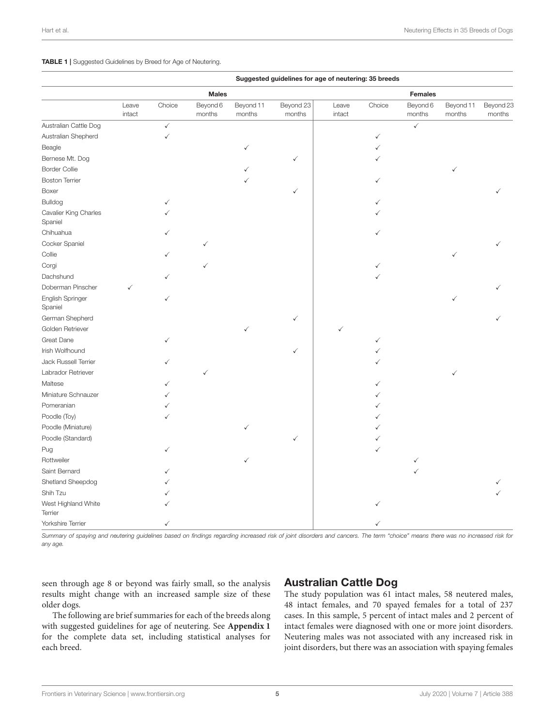#### <span id="page-4-0"></span>TABLE 1 | Suggested Guidelines by Breed for Age of Neutering.

| Suggested guidelines for age of neutering: 35 breeds |                 |              |                    |                     |                     |                 |              |                    |                     |                     |
|------------------------------------------------------|-----------------|--------------|--------------------|---------------------|---------------------|-----------------|--------------|--------------------|---------------------|---------------------|
|                                                      | <b>Males</b>    |              |                    |                     |                     | <b>Females</b>  |              |                    |                     |                     |
|                                                      | Leave<br>intact | Choice       | Beyond 6<br>months | Beyond 11<br>months | Beyond 23<br>months | Leave<br>intact | Choice       | Beyond 6<br>months | Beyond 11<br>months | Beyond 23<br>months |
| Australian Cattle Dog                                |                 | $\checkmark$ |                    |                     |                     |                 |              | $\checkmark$       |                     |                     |
| Australian Shepherd                                  |                 | $\checkmark$ |                    |                     |                     |                 | ✓            |                    |                     |                     |
| Beagle                                               |                 |              |                    | ✓                   |                     |                 |              |                    |                     |                     |
| Bernese Mt. Dog                                      |                 |              |                    |                     | ✓                   |                 |              |                    |                     |                     |
| <b>Border Collie</b>                                 |                 |              |                    |                     |                     |                 |              |                    |                     |                     |
| <b>Boston Terrier</b>                                |                 |              |                    |                     |                     |                 |              |                    |                     |                     |
| Boxer                                                |                 |              |                    |                     |                     |                 |              |                    |                     |                     |
| Bulldog                                              |                 |              |                    |                     |                     |                 |              |                    |                     |                     |
| Cavalier King Charles<br>Spaniel                     |                 |              |                    |                     |                     |                 |              |                    |                     |                     |
| Chihuahua                                            |                 |              |                    |                     |                     |                 |              |                    |                     |                     |
| Cocker Spaniel                                       |                 |              | ✓                  |                     |                     |                 |              |                    |                     |                     |
| Collie                                               |                 | ✓            |                    |                     |                     |                 |              |                    |                     |                     |
| Corgi                                                |                 |              | ✓                  |                     |                     |                 |              |                    |                     |                     |
| Dachshund                                            |                 |              |                    |                     |                     |                 |              |                    |                     |                     |
| Doberman Pinscher                                    | ✓               |              |                    |                     |                     |                 |              |                    |                     |                     |
| English Springer<br>Spaniel                          |                 | ✓            |                    |                     |                     |                 |              |                    | ✓                   |                     |
| German Shepherd                                      |                 |              |                    |                     | ✓                   |                 |              |                    |                     |                     |
| Golden Retriever                                     |                 |              |                    |                     |                     |                 |              |                    |                     |                     |
| Great Dane                                           |                 | ✓            |                    |                     |                     |                 | ✓            |                    |                     |                     |
| Irish Wolfhound                                      |                 |              |                    |                     | √                   |                 |              |                    |                     |                     |
| Jack Russell Terrier                                 |                 |              |                    |                     |                     |                 |              |                    |                     |                     |
| Labrador Retriever                                   |                 |              | ✓                  |                     |                     |                 |              |                    |                     |                     |
| Maltese                                              |                 |              |                    |                     |                     |                 |              |                    |                     |                     |
| Miniature Schnauzer                                  |                 |              |                    |                     |                     |                 |              |                    |                     |                     |
| Pomeranian                                           |                 |              |                    |                     |                     |                 |              |                    |                     |                     |
| Poodle (Toy)                                         |                 |              |                    |                     |                     |                 |              |                    |                     |                     |
| Poodle (Miniature)                                   |                 |              |                    |                     |                     |                 |              |                    |                     |                     |
| Poodle (Standard)                                    |                 |              |                    |                     | ✓                   |                 |              |                    |                     |                     |
| Pug                                                  |                 | ✓            |                    |                     |                     |                 | $\checkmark$ |                    |                     |                     |
| Rottweiler                                           |                 |              |                    |                     |                     |                 |              | ✓                  |                     |                     |
| Saint Bernard                                        |                 |              |                    |                     |                     |                 |              |                    |                     |                     |
| Shetland Sheepdog                                    |                 |              |                    |                     |                     |                 |              |                    |                     |                     |
| Shih Tzu                                             |                 |              |                    |                     |                     |                 |              |                    |                     |                     |
| West Highland White<br>Terrier                       |                 |              |                    |                     |                     |                 |              |                    |                     |                     |
| Yorkshire Terrier                                    |                 | ✓            |                    |                     |                     |                 |              |                    |                     |                     |

*Summary of spaying and neutering guidelines based on findings regarding increased risk of joint disorders and cancers. The term "choice" means there was no increased risk for any age.*

seen through age 8 or beyond was fairly small, so the analysis results might change with an increased sample size of these older dogs.

The following are brief summaries for each of the breeds along with suggested guidelines for age of neutering. See **[Appendix 1](#page-12-0)** for the complete data set, including statistical analyses for each breed.

#### Australian Cattle Dog

The study population was 61 intact males, 58 neutered males, 48 intact females, and 70 spayed females for a total of 237 cases. In this sample, 5 percent of intact males and 2 percent of intact females were diagnosed with one or more joint disorders. Neutering males was not associated with any increased risk in joint disorders, but there was an association with spaying females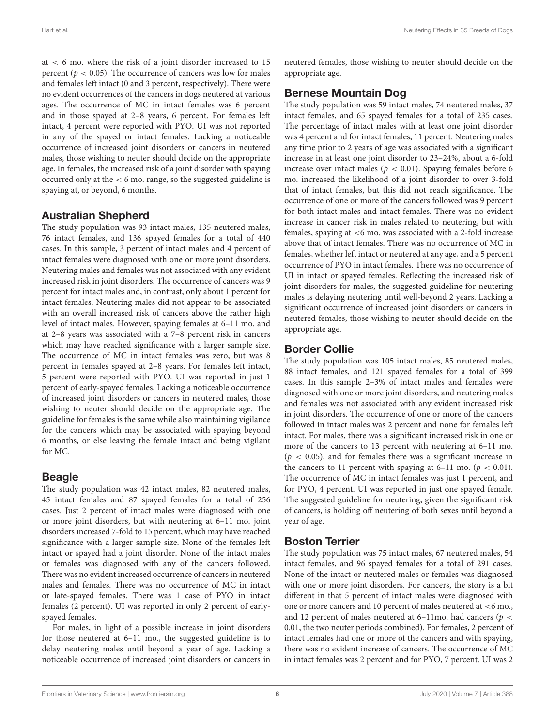at < 6 mo. where the risk of a joint disorder increased to 15 percent ( $p < 0.05$ ). The occurrence of cancers was low for males and females left intact (0 and 3 percent, respectively). There were no evident occurrences of the cancers in dogs neutered at various ages. The occurrence of MC in intact females was 6 percent and in those spayed at 2–8 years, 6 percent. For females left intact, 4 percent were reported with PYO. UI was not reported in any of the spayed or intact females. Lacking a noticeable occurrence of increased joint disorders or cancers in neutered males, those wishing to neuter should decide on the appropriate age. In females, the increased risk of a joint disorder with spaying occurred only at the < 6 mo. range, so the suggested guideline is spaying at, or beyond, 6 months.

#### Australian Shepherd

The study population was 93 intact males, 135 neutered males, 76 intact females, and 136 spayed females for a total of 440 cases. In this sample, 3 percent of intact males and 4 percent of intact females were diagnosed with one or more joint disorders. Neutering males and females was not associated with any evident increased risk in joint disorders. The occurrence of cancers was 9 percent for intact males and, in contrast, only about 1 percent for intact females. Neutering males did not appear to be associated with an overall increased risk of cancers above the rather high level of intact males. However, spaying females at 6–11 mo. and at 2–8 years was associated with a 7–8 percent risk in cancers which may have reached significance with a larger sample size. The occurrence of MC in intact females was zero, but was 8 percent in females spayed at 2–8 years. For females left intact, 5 percent were reported with PYO. UI was reported in just 1 percent of early-spayed females. Lacking a noticeable occurrence of increased joint disorders or cancers in neutered males, those wishing to neuter should decide on the appropriate age. The guideline for females is the same while also maintaining vigilance for the cancers which may be associated with spaying beyond 6 months, or else leaving the female intact and being vigilant for MC.

### **Beagle**

The study population was 42 intact males, 82 neutered males, 45 intact females and 87 spayed females for a total of 256 cases. Just 2 percent of intact males were diagnosed with one or more joint disorders, but with neutering at 6–11 mo. joint disorders increased 7-fold to 15 percent, which may have reached significance with a larger sample size. None of the females left intact or spayed had a joint disorder. None of the intact males or females was diagnosed with any of the cancers followed. There was no evident increased occurrence of cancers in neutered males and females. There was no occurrence of MC in intact or late-spayed females. There was 1 case of PYO in intact females (2 percent). UI was reported in only 2 percent of earlyspayed females.

For males, in light of a possible increase in joint disorders for those neutered at 6–11 mo., the suggested guideline is to delay neutering males until beyond a year of age. Lacking a noticeable occurrence of increased joint disorders or cancers in neutered females, those wishing to neuter should decide on the appropriate age.

#### Bernese Mountain Dog

The study population was 59 intact males, 74 neutered males, 37 intact females, and 65 spayed females for a total of 235 cases. The percentage of intact males with at least one joint disorder was 4 percent and for intact females, 11 percent. Neutering males any time prior to 2 years of age was associated with a significant increase in at least one joint disorder to 23–24%, about a 6-fold increase over intact males ( $p < 0.01$ ). Spaying females before 6 mo. increased the likelihood of a joint disorder to over 3-fold that of intact females, but this did not reach significance. The occurrence of one or more of the cancers followed was 9 percent for both intact males and intact females. There was no evident increase in cancer risk in males related to neutering, but with females, spaying at <6 mo. was associated with a 2-fold increase above that of intact females. There was no occurrence of MC in females, whether left intact or neutered at any age, and a 5 percent occurrence of PYO in intact females. There was no occurrence of UI in intact or spayed females. Reflecting the increased risk of joint disorders for males, the suggested guideline for neutering males is delaying neutering until well-beyond 2 years. Lacking a significant occurrence of increased joint disorders or cancers in neutered females, those wishing to neuter should decide on the appropriate age.

### Border Collie

The study population was 105 intact males, 85 neutered males, 88 intact females, and 121 spayed females for a total of 399 cases. In this sample 2–3% of intact males and females were diagnosed with one or more joint disorders, and neutering males and females was not associated with any evident increased risk in joint disorders. The occurrence of one or more of the cancers followed in intact males was 2 percent and none for females left intact. For males, there was a significant increased risk in one or more of the cancers to 13 percent with neutering at 6–11 mo.  $(p < 0.05)$ , and for females there was a significant increase in the cancers to 11 percent with spaying at 6–11 mo. ( $p < 0.01$ ). The occurrence of MC in intact females was just 1 percent, and for PYO, 4 percent. UI was reported in just one spayed female. The suggested guideline for neutering, given the significant risk of cancers, is holding off neutering of both sexes until beyond a year of age.

### Boston Terrier

The study population was 75 intact males, 67 neutered males, 54 intact females, and 96 spayed females for a total of 291 cases. None of the intact or neutered males or females was diagnosed with one or more joint disorders. For cancers, the story is a bit different in that 5 percent of intact males were diagnosed with one or more cancers and 10 percent of males neutered at <6 mo., and 12 percent of males neutered at 6-11mo. had cancers ( $p <$ 0.01, the two neuter periods combined). For females, 2 percent of intact females had one or more of the cancers and with spaying, there was no evident increase of cancers. The occurrence of MC in intact females was 2 percent and for PYO, 7 percent. UI was 2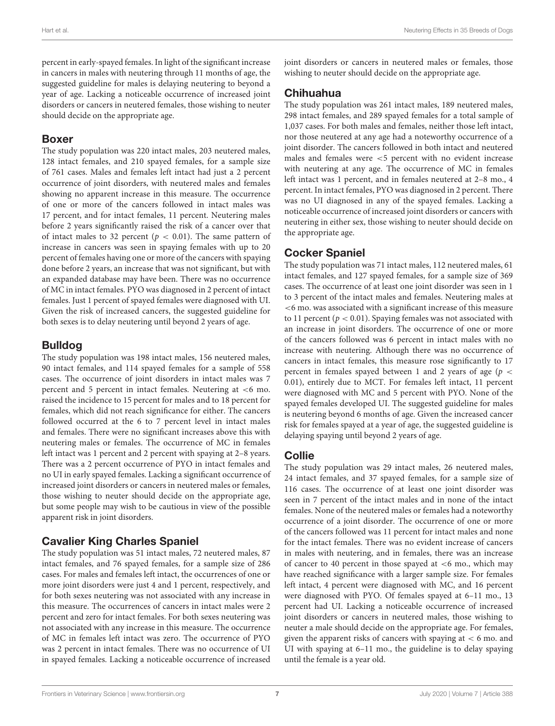percent in early-spayed females. In light of the significant increase in cancers in males with neutering through 11 months of age, the suggested guideline for males is delaying neutering to beyond a year of age. Lacking a noticeable occurrence of increased joint disorders or cancers in neutered females, those wishing to neuter should decide on the appropriate age.

#### Boxer

The study population was 220 intact males, 203 neutered males, 128 intact females, and 210 spayed females, for a sample size of 761 cases. Males and females left intact had just a 2 percent occurrence of joint disorders, with neutered males and females showing no apparent increase in this measure. The occurrence of one or more of the cancers followed in intact males was 17 percent, and for intact females, 11 percent. Neutering males before 2 years significantly raised the risk of a cancer over that of intact males to 32 percent ( $p < 0.01$ ). The same pattern of increase in cancers was seen in spaying females with up to 20 percent of females having one or more of the cancers with spaying done before 2 years, an increase that was not significant, but with an expanded database may have been. There was no occurrence of MC in intact females. PYO was diagnosed in 2 percent of intact females. Just 1 percent of spayed females were diagnosed with UI. Given the risk of increased cancers, the suggested guideline for both sexes is to delay neutering until beyond 2 years of age.

### Bulldog

The study population was 198 intact males, 156 neutered males, 90 intact females, and 114 spayed females for a sample of 558 cases. The occurrence of joint disorders in intact males was 7 percent and 5 percent in intact females. Neutering at <6 mo. raised the incidence to 15 percent for males and to 18 percent for females, which did not reach significance for either. The cancers followed occurred at the 6 to 7 percent level in intact males and females. There were no significant increases above this with neutering males or females. The occurrence of MC in females left intact was 1 percent and 2 percent with spaying at 2–8 years. There was a 2 percent occurrence of PYO in intact females and no UI in early spayed females. Lacking a significant occurrence of increased joint disorders or cancers in neutered males or females, those wishing to neuter should decide on the appropriate age, but some people may wish to be cautious in view of the possible apparent risk in joint disorders.

### Cavalier King Charles Spaniel

The study population was 51 intact males, 72 neutered males, 87 intact females, and 76 spayed females, for a sample size of 286 cases. For males and females left intact, the occurrences of one or more joint disorders were just 4 and 1 percent, respectively, and for both sexes neutering was not associated with any increase in this measure. The occurrences of cancers in intact males were 2 percent and zero for intact females. For both sexes neutering was not associated with any increase in this measure. The occurrence of MC in females left intact was zero. The occurrence of PYO was 2 percent in intact females. There was no occurrence of UI in spayed females. Lacking a noticeable occurrence of increased

#### Chihuahua

The study population was 261 intact males, 189 neutered males, 298 intact females, and 289 spayed females for a total sample of 1,037 cases. For both males and females, neither those left intact, nor those neutered at any age had a noteworthy occurrence of a joint disorder. The cancers followed in both intact and neutered males and females were <5 percent with no evident increase with neutering at any age. The occurrence of MC in females left intact was 1 percent, and in females neutered at 2–8 mo., 4 percent. In intact females, PYO was diagnosed in 2 percent. There was no UI diagnosed in any of the spayed females. Lacking a noticeable occurrence of increased joint disorders or cancers with neutering in either sex, those wishing to neuter should decide on the appropriate age.

# Cocker Spaniel

The study population was 71 intact males, 112 neutered males, 61 intact females, and 127 spayed females, for a sample size of 369 cases. The occurrence of at least one joint disorder was seen in 1 to 3 percent of the intact males and females. Neutering males at <6 mo. was associated with a significant increase of this measure to 11 percent ( $p < 0.01$ ). Spaying females was not associated with an increase in joint disorders. The occurrence of one or more of the cancers followed was 6 percent in intact males with no increase with neutering. Although there was no occurrence of cancers in intact females, this measure rose significantly to 17 percent in females spayed between 1 and 2 years of age ( $p <$ 0.01), entirely due to MCT. For females left intact, 11 percent were diagnosed with MC and 5 percent with PYO. None of the spayed females developed UI. The suggested guideline for males is neutering beyond 6 months of age. Given the increased cancer risk for females spayed at a year of age, the suggested guideline is delaying spaying until beyond 2 years of age.

### **Collie**

The study population was 29 intact males, 26 neutered males, 24 intact females, and 37 spayed females, for a sample size of 116 cases. The occurrence of at least one joint disorder was seen in 7 percent of the intact males and in none of the intact females. None of the neutered males or females had a noteworthy occurrence of a joint disorder. The occurrence of one or more of the cancers followed was 11 percent for intact males and none for the intact females. There was no evident increase of cancers in males with neutering, and in females, there was an increase of cancer to 40 percent in those spayed at  $<6$  mo., which may have reached significance with a larger sample size. For females left intact, 4 percent were diagnosed with MC, and 16 percent were diagnosed with PYO. Of females spayed at 6–11 mo., 13 percent had UI. Lacking a noticeable occurrence of increased joint disorders or cancers in neutered males, those wishing to neuter a male should decide on the appropriate age. For females, given the apparent risks of cancers with spaying at  $< 6$  mo. and UI with spaying at 6–11 mo., the guideline is to delay spaying until the female is a year old.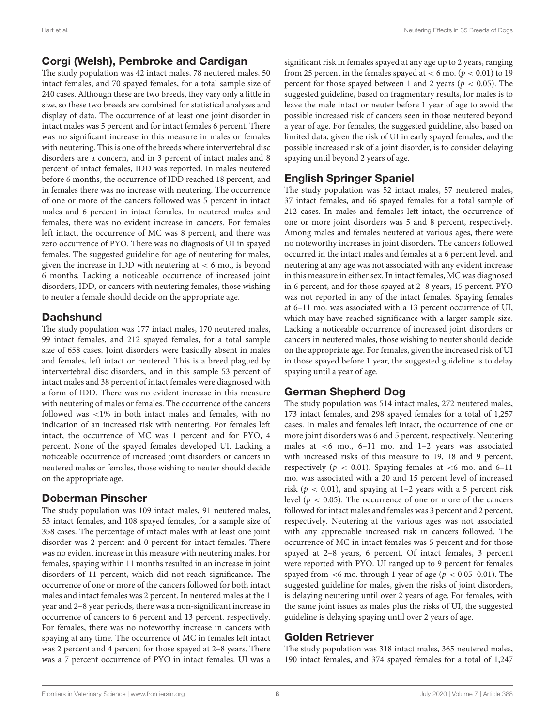#### Corgi (Welsh), Pembroke and Cardigan

The study population was 42 intact males, 78 neutered males, 50 intact females, and 70 spayed females, for a total sample size of 240 cases. Although these are two breeds, they vary only a little in size, so these two breeds are combined for statistical analyses and display of data. The occurrence of at least one joint disorder in intact males was 5 percent and for intact females 6 percent. There was no significant increase in this measure in males or females with neutering. This is one of the breeds where intervertebral disc disorders are a concern, and in 3 percent of intact males and 8 percent of intact females, IDD was reported. In males neutered before 6 months, the occurrence of IDD reached 18 percent, and in females there was no increase with neutering. The occurrence of one or more of the cancers followed was 5 percent in intact males and 6 percent in intact females. In neutered males and females, there was no evident increase in cancers. For females left intact, the occurrence of MC was 8 percent, and there was zero occurrence of PYO. There was no diagnosis of UI in spayed females. The suggested guideline for age of neutering for males, given the increase in IDD with neutering at  $< 6$  mo., is beyond 6 months. Lacking a noticeable occurrence of increased joint disorders, IDD, or cancers with neutering females, those wishing to neuter a female should decide on the appropriate age.

#### **Dachshund**

The study population was 177 intact males, 170 neutered males, 99 intact females, and 212 spayed females, for a total sample size of 658 cases. Joint disorders were basically absent in males and females, left intact or neutered. This is a breed plagued by intervertebral disc disorders, and in this sample 53 percent of intact males and 38 percent of intact females were diagnosed with a form of IDD. There was no evident increase in this measure with neutering of males or females. The occurrence of the cancers followed was <1% in both intact males and females, with no indication of an increased risk with neutering. For females left intact, the occurrence of MC was 1 percent and for PYO, 4 percent. None of the spayed females developed UI. Lacking a noticeable occurrence of increased joint disorders or cancers in neutered males or females, those wishing to neuter should decide on the appropriate age.

### Doberman Pinscher

The study population was 109 intact males, 91 neutered males, 53 intact females, and 108 spayed females, for a sample size of 358 cases. The percentage of intact males with at least one joint disorder was 2 percent and 0 percent for intact females. There was no evident increase in this measure with neutering males. For females, spaying within 11 months resulted in an increase in joint disorders of 11 percent, which did not reach significance**.** The occurrence of one or more of the cancers followed for both intact males and intact females was 2 percent. In neutered males at the 1 year and 2–8 year periods, there was a non-significant increase in occurrence of cancers to 6 percent and 13 percent, respectively. For females, there was no noteworthy increase in cancers with spaying at any time. The occurrence of MC in females left intact was 2 percent and 4 percent for those spayed at 2–8 years. There was a 7 percent occurrence of PYO in intact females. UI was a

significant risk in females spayed at any age up to 2 years, ranging from 25 percent in the females spayed at  $< 6$  mo. ( $p < 0.01$ ) to 19 percent for those spayed between 1 and 2 years ( $p < 0.05$ ). The suggested guideline, based on fragmentary results, for males is to leave the male intact or neuter before 1 year of age to avoid the possible increased risk of cancers seen in those neutered beyond a year of age. For females, the suggested guideline, also based on limited data, given the risk of UI in early spayed females, and the possible increased risk of a joint disorder, is to consider delaying spaying until beyond 2 years of age.

#### English Springer Spaniel

The study population was 52 intact males, 57 neutered males, 37 intact females, and 66 spayed females for a total sample of 212 cases. In males and females left intact, the occurrence of one or more joint disorders was 5 and 8 percent, respectively. Among males and females neutered at various ages, there were no noteworthy increases in joint disorders. The cancers followed occurred in the intact males and females at a 6 percent level, and neutering at any age was not associated with any evident increase in this measure in either sex. In intact females, MC was diagnosed in 6 percent, and for those spayed at 2–8 years, 15 percent. PYO was not reported in any of the intact females. Spaying females at 6–11 mo. was associated with a 13 percent occurrence of UI, which may have reached significance with a larger sample size. Lacking a noticeable occurrence of increased joint disorders or cancers in neutered males, those wishing to neuter should decide on the appropriate age. For females, given the increased risk of UI in those spayed before 1 year, the suggested guideline is to delay spaying until a year of age.

### German Shepherd Dog

The study population was 514 intact males, 272 neutered males, 173 intact females, and 298 spayed females for a total of 1,257 cases. In males and females left intact, the occurrence of one or more joint disorders was 6 and 5 percent, respectively. Neutering males at <6 mo., 6–11 mo. and 1–2 years was associated with increased risks of this measure to 19, 18 and 9 percent, respectively ( $p < 0.01$ ). Spaying females at <6 mo. and 6-11 mo. was associated with a 20 and 15 percent level of increased risk ( $p < 0.01$ ), and spaying at 1-2 years with a 5 percent risk level ( $p < 0.05$ ). The occurrence of one or more of the cancers followed for intact males and females was 3 percent and 2 percent, respectively. Neutering at the various ages was not associated with any appreciable increased risk in cancers followed. The occurrence of MC in intact females was 5 percent and for those spayed at 2–8 years, 6 percent. Of intact females, 3 percent were reported with PYO. UI ranged up to 9 percent for females spayed from  $<$ 6 mo. through 1 year of age ( $p < 0.05$ –0.01). The suggested guideline for males, given the risks of joint disorders, is delaying neutering until over 2 years of age. For females, with the same joint issues as males plus the risks of UI, the suggested guideline is delaying spaying until over 2 years of age.

### Golden Retriever

The study population was 318 intact males, 365 neutered males, 190 intact females, and 374 spayed females for a total of 1,247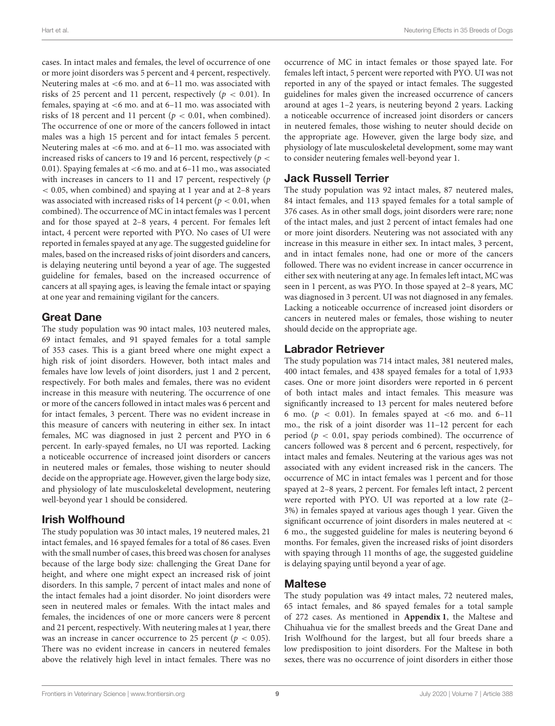cases. In intact males and females, the level of occurrence of one or more joint disorders was 5 percent and 4 percent, respectively. Neutering males at <6 mo. and at 6–11 mo. was associated with risks of 25 percent and 11 percent, respectively ( $p < 0.01$ ). In females, spaying at <6 mo. and at 6–11 mo. was associated with risks of 18 percent and 11 percent ( $p < 0.01$ , when combined). The occurrence of one or more of the cancers followed in intact males was a high 15 percent and for intact females 5 percent. Neutering males at <6 mo. and at 6–11 mo. was associated with increased risks of cancers to 19 and 16 percent, respectively ( $p <$ 0.01). Spaying females at <6 mo. and at 6–11 mo., was associated with increases in cancers to 11 and 17 percent, respectively (p < 0.05, when combined) and spaying at 1 year and at 2–8 years was associated with increased risks of 14 percent ( $p < 0.01$ , when combined). The occurrence of MC in intact females was 1 percent and for those spayed at 2–8 years, 4 percent. For females left intact, 4 percent were reported with PYO. No cases of UI were reported in females spayed at any age. The suggested guideline for males, based on the increased risks of joint disorders and cancers, is delaying neutering until beyond a year of age. The suggested guideline for females, based on the increased occurrence of cancers at all spaying ages, is leaving the female intact or spaying at one year and remaining vigilant for the cancers.

#### Great Dane

The study population was 90 intact males, 103 neutered males, 69 intact females, and 91 spayed females for a total sample of 353 cases. This is a giant breed where one might expect a high risk of joint disorders. However, both intact males and females have low levels of joint disorders, just 1 and 2 percent, respectively. For both males and females, there was no evident increase in this measure with neutering. The occurrence of one or more of the cancers followed in intact males was 6 percent and for intact females, 3 percent. There was no evident increase in this measure of cancers with neutering in either sex. In intact females, MC was diagnosed in just 2 percent and PYO in 6 percent. In early-spayed females, no UI was reported. Lacking a noticeable occurrence of increased joint disorders or cancers in neutered males or females, those wishing to neuter should decide on the appropriate age. However, given the large body size, and physiology of late musculoskeletal development, neutering well-beyond year 1 should be considered.

### Irish Wolfhound

The study population was 30 intact males, 19 neutered males, 21 intact females, and 16 spayed females for a total of 86 cases. Even with the small number of cases, this breed was chosen for analyses because of the large body size: challenging the Great Dane for height, and where one might expect an increased risk of joint disorders. In this sample, 7 percent of intact males and none of the intact females had a joint disorder. No joint disorders were seen in neutered males or females. With the intact males and females, the incidences of one or more cancers were 8 percent and 21 percent, respectively. With neutering males at 1 year, there was an increase in cancer occurrence to 25 percent ( $p < 0.05$ ). There was no evident increase in cancers in neutered females above the relatively high level in intact females. There was no occurrence of MC in intact females or those spayed late. For females left intact, 5 percent were reported with PYO. UI was not reported in any of the spayed or intact females. The suggested guidelines for males given the increased occurrence of cancers around at ages 1–2 years, is neutering beyond 2 years. Lacking a noticeable occurrence of increased joint disorders or cancers in neutered females, those wishing to neuter should decide on the appropriate age. However, given the large body size, and physiology of late musculoskeletal development, some may want to consider neutering females well-beyond year 1.

#### Jack Russell Terrier

The study population was 92 intact males, 87 neutered males, 84 intact females, and 113 spayed females for a total sample of 376 cases. As in other small dogs, joint disorders were rare; none of the intact males, and just 2 percent of intact females had one or more joint disorders. Neutering was not associated with any increase in this measure in either sex. In intact males, 3 percent, and in intact females none, had one or more of the cancers followed. There was no evident increase in cancer occurrence in either sex with neutering at any age. In females left intact, MC was seen in 1 percent, as was PYO. In those spayed at 2–8 years, MC was diagnosed in 3 percent. UI was not diagnosed in any females. Lacking a noticeable occurrence of increased joint disorders or cancers in neutered males or females, those wishing to neuter should decide on the appropriate age.

#### Labrador Retriever

The study population was 714 intact males, 381 neutered males, 400 intact females, and 438 spayed females for a total of 1,933 cases. One or more joint disorders were reported in 6 percent of both intact males and intact females. This measure was significantly increased to 13 percent for males neutered before 6 mo. ( $p < 0.01$ ). In females spayed at <6 mo. and 6-11 mo., the risk of a joint disorder was 11–12 percent for each period ( $p < 0.01$ , spay periods combined). The occurrence of cancers followed was 8 percent and 6 percent, respectively, for intact males and females. Neutering at the various ages was not associated with any evident increased risk in the cancers. The occurrence of MC in intact females was 1 percent and for those spayed at 2–8 years, 2 percent. For females left intact, 2 percent were reported with PYO. UI was reported at a low rate (2– 3%) in females spayed at various ages though 1 year. Given the significant occurrence of joint disorders in males neutered at < 6 mo., the suggested guideline for males is neutering beyond 6 months. For females, given the increased risks of joint disorders with spaying through 11 months of age, the suggested guideline is delaying spaying until beyond a year of age.

#### **Maltese**

The study population was 49 intact males, 72 neutered males, 65 intact females, and 86 spayed females for a total sample of 272 cases. As mentioned in **[Appendix 1](#page-12-0)**, the Maltese and Chihuahua vie for the smallest breeds and the Great Dane and Irish Wolfhound for the largest, but all four breeds share a low predisposition to joint disorders. For the Maltese in both sexes, there was no occurrence of joint disorders in either those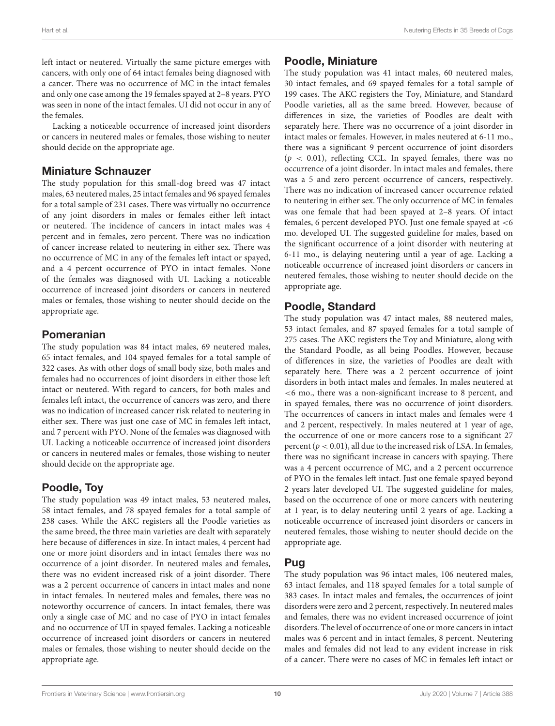left intact or neutered. Virtually the same picture emerges with cancers, with only one of 64 intact females being diagnosed with a cancer. There was no occurrence of MC in the intact females and only one case among the 19 females spayed at 2–8 years. PYO was seen in none of the intact females. UI did not occur in any of the females.

Lacking a noticeable occurrence of increased joint disorders or cancers in neutered males or females, those wishing to neuter should decide on the appropriate age.

#### Miniature Schnauzer

The study population for this small-dog breed was 47 intact males, 63 neutered males, 25 intact females and 96 spayed females for a total sample of 231 cases. There was virtually no occurrence of any joint disorders in males or females either left intact or neutered. The incidence of cancers in intact males was 4 percent and in females, zero percent. There was no indication of cancer increase related to neutering in either sex. There was no occurrence of MC in any of the females left intact or spayed, and a 4 percent occurrence of PYO in intact females. None of the females was diagnosed with UI. Lacking a noticeable occurrence of increased joint disorders or cancers in neutered males or females, those wishing to neuter should decide on the appropriate age.

#### Pomeranian

The study population was 84 intact males, 69 neutered males, 65 intact females, and 104 spayed females for a total sample of 322 cases. As with other dogs of small body size, both males and females had no occurrences of joint disorders in either those left intact or neutered. With regard to cancers, for both males and females left intact, the occurrence of cancers was zero, and there was no indication of increased cancer risk related to neutering in either sex. There was just one case of MC in females left intact, and 7 percent with PYO. None of the females was diagnosed with UI. Lacking a noticeable occurrence of increased joint disorders or cancers in neutered males or females, those wishing to neuter should decide on the appropriate age.

### Poodle, Toy

The study population was 49 intact males, 53 neutered males, 58 intact females, and 78 spayed females for a total sample of 238 cases. While the AKC registers all the Poodle varieties as the same breed, the three main varieties are dealt with separately here because of differences in size. In intact males, 4 percent had one or more joint disorders and in intact females there was no occurrence of a joint disorder. In neutered males and females, there was no evident increased risk of a joint disorder. There was a 2 percent occurrence of cancers in intact males and none in intact females. In neutered males and females, there was no noteworthy occurrence of cancers. In intact females, there was only a single case of MC and no case of PYO in intact females and no occurrence of UI in spayed females. Lacking a noticeable occurrence of increased joint disorders or cancers in neutered males or females, those wishing to neuter should decide on the appropriate age.

# Poodle, Miniature

The study population was 41 intact males, 60 neutered males, 30 intact females, and 69 spayed females for a total sample of 199 cases. The AKC registers the Toy, Miniature, and Standard Poodle varieties, all as the same breed. However, because of differences in size, the varieties of Poodles are dealt with separately here. There was no occurrence of a joint disorder in intact males or females. However, in males neutered at 6-11 mo., there was a significant 9 percent occurrence of joint disorders  $(p < 0.01)$ , reflecting CCL. In spayed females, there was no occurrence of a joint disorder. In intact males and females, there was a 5 and zero percent occurrence of cancers, respectively. There was no indication of increased cancer occurrence related to neutering in either sex. The only occurrence of MC in females was one female that had been spayed at 2–8 years. Of intact females, 6 percent developed PYO. Just one female spayed at <6 mo. developed UI. The suggested guideline for males, based on the significant occurrence of a joint disorder with neutering at 6-11 mo., is delaying neutering until a year of age. Lacking a noticeable occurrence of increased joint disorders or cancers in neutered females, those wishing to neuter should decide on the appropriate age.

# Poodle, Standard

The study population was 47 intact males, 88 neutered males, 53 intact females, and 87 spayed females for a total sample of 275 cases. The AKC registers the Toy and Miniature, along with the Standard Poodle, as all being Poodles. However, because of differences in size, the varieties of Poodles are dealt with separately here. There was a 2 percent occurrence of joint disorders in both intact males and females. In males neutered at <6 mo., there was a non-significant increase to 8 percent, and in spayed females, there was no occurrence of joint disorders. The occurrences of cancers in intact males and females were 4 and 2 percent, respectively. In males neutered at 1 year of age, the occurrence of one or more cancers rose to a significant 27 percent ( $p < 0.01$ ), all due to the increased risk of LSA. In females, there was no significant increase in cancers with spaying. There was a 4 percent occurrence of MC, and a 2 percent occurrence of PYO in the females left intact. Just one female spayed beyond 2 years later developed UI. The suggested guideline for males, based on the occurrence of one or more cancers with neutering at 1 year, is to delay neutering until 2 years of age. Lacking a noticeable occurrence of increased joint disorders or cancers in neutered females, those wishing to neuter should decide on the appropriate age.

#### Pug

The study population was 96 intact males, 106 neutered males, 63 intact females, and 118 spayed females for a total sample of 383 cases. In intact males and females, the occurrences of joint disorders were zero and 2 percent, respectively. In neutered males and females, there was no evident increased occurrence of joint disorders. The level of occurrence of one or more cancers in intact males was 6 percent and in intact females, 8 percent. Neutering males and females did not lead to any evident increase in risk of a cancer. There were no cases of MC in females left intact or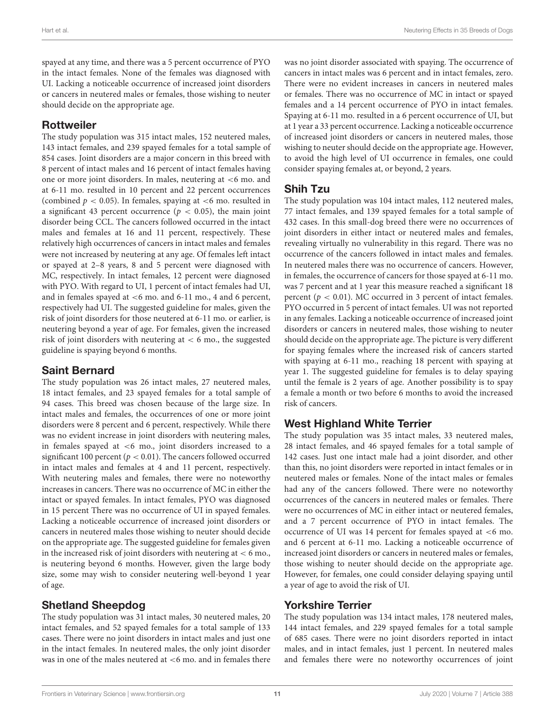spayed at any time, and there was a 5 percent occurrence of PYO in the intact females. None of the females was diagnosed with UI. Lacking a noticeable occurrence of increased joint disorders or cancers in neutered males or females, those wishing to neuter should decide on the appropriate age.

#### Rottweiler

The study population was 315 intact males, 152 neutered males, 143 intact females, and 239 spayed females for a total sample of 854 cases. Joint disorders are a major concern in this breed with 8 percent of intact males and 16 percent of intact females having one or more joint disorders. In males, neutering at <6 mo. and at 6-11 mo. resulted in 10 percent and 22 percent occurrences (combined  $p < 0.05$ ). In females, spaying at  $<$ 6 mo. resulted in a significant 43 percent occurrence ( $p < 0.05$ ), the main joint disorder being CCL. The cancers followed occurred in the intact males and females at 16 and 11 percent, respectively. These relatively high occurrences of cancers in intact males and females were not increased by neutering at any age. Of females left intact or spayed at 2–8 years, 8 and 5 percent were diagnosed with MC, respectively. In intact females, 12 percent were diagnosed with PYO. With regard to UI, 1 percent of intact females had UI, and in females spayed at <6 mo. and 6-11 mo., 4 and 6 percent, respectively had UI. The suggested guideline for males, given the risk of joint disorders for those neutered at 6-11 mo. or earlier, is neutering beyond a year of age. For females, given the increased risk of joint disorders with neutering at < 6 mo., the suggested guideline is spaying beyond 6 months.

# Saint Bernard

The study population was 26 intact males, 27 neutered males, 18 intact females, and 23 spayed females for a total sample of 94 cases. This breed was chosen because of the large size. In intact males and females, the occurrences of one or more joint disorders were 8 percent and 6 percent, respectively. While there was no evident increase in joint disorders with neutering males, in females spayed at <6 mo., joint disorders increased to a significant 100 percent ( $p < 0.01$ ). The cancers followed occurred in intact males and females at 4 and 11 percent, respectively. With neutering males and females, there were no noteworthy increases in cancers. There was no occurrence of MC in either the intact or spayed females. In intact females, PYO was diagnosed in 15 percent There was no occurrence of UI in spayed females. Lacking a noticeable occurrence of increased joint disorders or cancers in neutered males those wishing to neuter should decide on the appropriate age. The suggested guideline for females given in the increased risk of joint disorders with neutering at  $<$  6 mo., is neutering beyond 6 months. However, given the large body size, some may wish to consider neutering well-beyond 1 year of age.

### Shetland Sheepdog

The study population was 31 intact males, 30 neutered males, 20 intact females, and 52 spayed females for a total sample of 133 cases. There were no joint disorders in intact males and just one in the intact females. In neutered males, the only joint disorder was in one of the males neutered at <6 mo. and in females there was no joint disorder associated with spaying. The occurrence of cancers in intact males was 6 percent and in intact females, zero. There were no evident increases in cancers in neutered males or females. There was no occurrence of MC in intact or spayed females and a 14 percent occurrence of PYO in intact females. Spaying at 6-11 mo. resulted in a 6 percent occurrence of UI, but at 1 year a 33 percent occurrence. Lacking a noticeable occurrence of increased joint disorders or cancers in neutered males, those wishing to neuter should decide on the appropriate age. However, to avoid the high level of UI occurrence in females, one could consider spaying females at, or beyond, 2 years.

# Shih Tzu

The study population was 104 intact males, 112 neutered males, 77 intact females, and 139 spayed females for a total sample of 432 cases. In this small-dog breed there were no occurrences of joint disorders in either intact or neutered males and females, revealing virtually no vulnerability in this regard. There was no occurrence of the cancers followed in intact males and females. In neutered males there was no occurrence of cancers. However, in females, the occurrence of cancers for those spayed at 6-11 mo. was 7 percent and at 1 year this measure reached a significant 18 percent ( $p < 0.01$ ). MC occurred in 3 percent of intact females. PYO occurred in 5 percent of intact females. UI was not reported in any females. Lacking a noticeable occurrence of increased joint disorders or cancers in neutered males, those wishing to neuter should decide on the appropriate age. The picture is very different for spaying females where the increased risk of cancers started with spaying at 6-11 mo., reaching 18 percent with spaying at year 1. The suggested guideline for females is to delay spaying until the female is 2 years of age. Another possibility is to spay a female a month or two before 6 months to avoid the increased risk of cancers.

### West Highland White Terrier

The study population was 35 intact males, 33 neutered males, 28 intact females, and 46 spayed females for a total sample of 142 cases. Just one intact male had a joint disorder, and other than this, no joint disorders were reported in intact females or in neutered males or females. None of the intact males or females had any of the cancers followed. There were no noteworthy occurrences of the cancers in neutered males or females. There were no occurrences of MC in either intact or neutered females, and a 7 percent occurrence of PYO in intact females. The occurrence of UI was 14 percent for females spayed at <6 mo. and 6 percent at 6-11 mo. Lacking a noticeable occurrence of increased joint disorders or cancers in neutered males or females, those wishing to neuter should decide on the appropriate age. However, for females, one could consider delaying spaying until a year of age to avoid the risk of UI.

#### Yorkshire Terrier

The study population was 134 intact males, 178 neutered males, 144 intact females, and 229 spayed females for a total sample of 685 cases. There were no joint disorders reported in intact males, and in intact females, just 1 percent. In neutered males and females there were no noteworthy occurrences of joint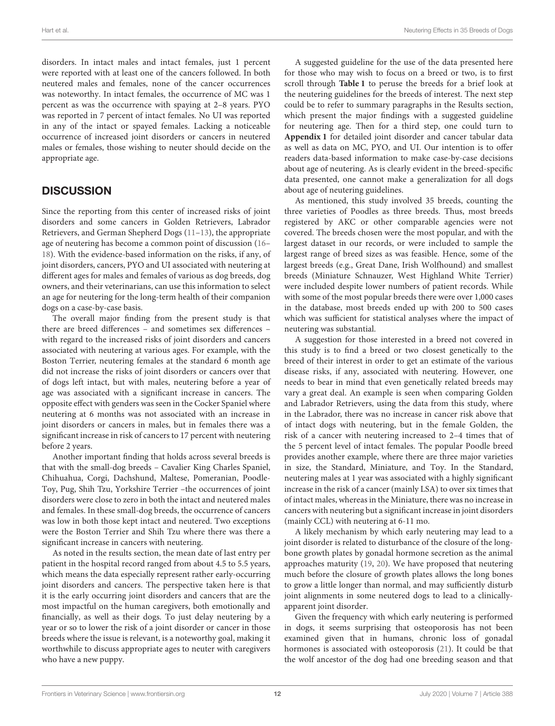disorders. In intact males and intact females, just 1 percent were reported with at least one of the cancers followed. In both neutered males and females, none of the cancer occurrences was noteworthy. In intact females, the occurrence of MC was 1 percent as was the occurrence with spaying at 2–8 years. PYO was reported in 7 percent of intact females. No UI was reported in any of the intact or spayed females. Lacking a noticeable occurrence of increased joint disorders or cancers in neutered males or females, those wishing to neuter should decide on the appropriate age.

### **DISCUSSION**

Since the reporting from this center of increased risks of joint disorders and some cancers in Golden Retrievers, Labrador Retrievers, and German Shepherd Dogs [\(11–](#page-13-10)[13\)](#page-13-12), the appropriate age of neutering has become a common point of discussion [\(16–](#page-13-15) [18\)](#page-13-16). With the evidence-based information on the risks, if any, of joint disorders, cancers, PYO and UI associated with neutering at different ages for males and females of various as dog breeds, dog owners, and their veterinarians, can use this information to select an age for neutering for the long-term health of their companion dogs on a case-by-case basis.

The overall major finding from the present study is that there are breed differences – and sometimes sex differences – with regard to the increased risks of joint disorders and cancers associated with neutering at various ages. For example, with the Boston Terrier, neutering females at the standard 6 month age did not increase the risks of joint disorders or cancers over that of dogs left intact, but with males, neutering before a year of age was associated with a significant increase in cancers. The opposite effect with genders was seen in the Cocker Spaniel where neutering at 6 months was not associated with an increase in joint disorders or cancers in males, but in females there was a significant increase in risk of cancers to 17 percent with neutering before 2 years.

Another important finding that holds across several breeds is that with the small-dog breeds – Cavalier King Charles Spaniel, Chihuahua, Corgi, Dachshund, Maltese, Pomeranian, Poodle-Toy, Pug, Shih Tzu, Yorkshire Terrier –the occurrences of joint disorders were close to zero in both the intact and neutered males and females. In these small-dog breeds, the occurrence of cancers was low in both those kept intact and neutered. Two exceptions were the Boston Terrier and Shih Tzu where there was there a significant increase in cancers with neutering.

As noted in the results section, the mean date of last entry per patient in the hospital record ranged from about 4.5 to 5.5 years, which means the data especially represent rather early-occurring joint disorders and cancers. The perspective taken here is that it is the early occurring joint disorders and cancers that are the most impactful on the human caregivers, both emotionally and financially, as well as their dogs. To just delay neutering by a year or so to lower the risk of a joint disorder or cancer in those breeds where the issue is relevant, is a noteworthy goal, making it worthwhile to discuss appropriate ages to neuter with caregivers who have a new puppy.

A suggested guideline for the use of the data presented here for those who may wish to focus on a breed or two, is to first scroll through **[Table 1](#page-4-0)** to peruse the breeds for a brief look at the neutering guidelines for the breeds of interest. The next step could be to refer to summary paragraphs in the Results section, which present the major findings with a suggested guideline for neutering age. Then for a third step, one could turn to **[Appendix 1](#page-12-0)** for detailed joint disorder and cancer tabular data as well as data on MC, PYO, and UI. Our intention is to offer readers data-based information to make case-by-case decisions about age of neutering. As is clearly evident in the breed-specific data presented, one cannot make a generalization for all dogs about age of neutering guidelines.

As mentioned, this study involved 35 breeds, counting the three varieties of Poodles as three breeds. Thus, most breeds registered by AKC or other comparable agencies were not covered. The breeds chosen were the most popular, and with the largest dataset in our records, or were included to sample the largest range of breed sizes as was feasible. Hence, some of the largest breeds (e.g., Great Dane, Irish Wolfhound) and smallest breeds (Miniature Schnauzer, West Highland White Terrier) were included despite lower numbers of patient records. While with some of the most popular breeds there were over 1,000 cases in the database, most breeds ended up with 200 to 500 cases which was sufficient for statistical analyses where the impact of neutering was substantial.

A suggestion for those interested in a breed not covered in this study is to find a breed or two closest genetically to the breed of their interest in order to get an estimate of the various disease risks, if any, associated with neutering. However, one needs to bear in mind that even genetically related breeds may vary a great deal. An example is seen when comparing Golden and Labrador Retrievers, using the data from this study, where in the Labrador, there was no increase in cancer risk above that of intact dogs with neutering, but in the female Golden, the risk of a cancer with neutering increased to 2–4 times that of the 5 percent level of intact females. The popular Poodle breed provides another example, where there are three major varieties in size, the Standard, Miniature, and Toy. In the Standard, neutering males at 1 year was associated with a highly significant increase in the risk of a cancer (mainly LSA) to over six times that of intact males, whereas in the Miniature, there was no increase in cancers with neutering but a significant increase in joint disorders (mainly CCL) with neutering at 6-11 mo.

A likely mechanism by which early neutering may lead to a joint disorder is related to disturbance of the closure of the longbone growth plates by gonadal hormone secretion as the animal approaches maturity [\(19,](#page-13-17) [20\)](#page-13-18). We have proposed that neutering much before the closure of growth plates allows the long bones to grow a little longer than normal, and may sufficiently disturb joint alignments in some neutered dogs to lead to a clinicallyapparent joint disorder.

Given the frequency with which early neutering is performed in dogs, it seems surprising that osteoporosis has not been examined given that in humans, chronic loss of gonadal hormones is associated with osteoporosis [\(21\)](#page-13-19). It could be that the wolf ancestor of the dog had one breeding season and that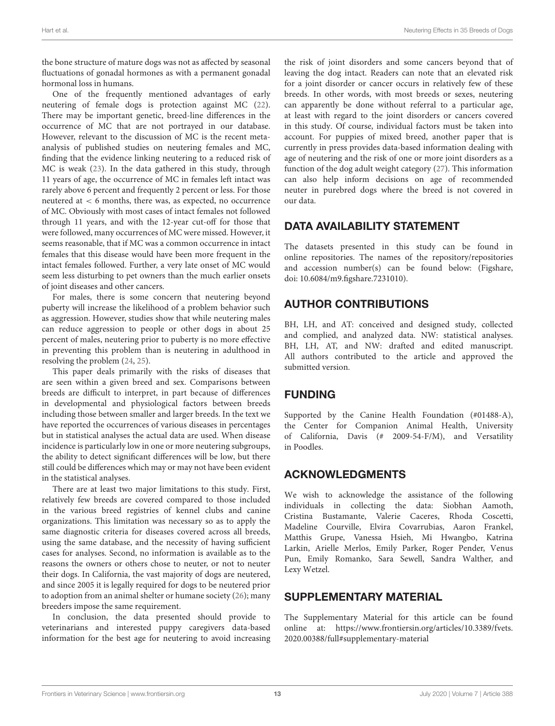the bone structure of mature dogs was not as affected by seasonal fluctuations of gonadal hormones as with a permanent gonadal hormonal loss in humans.

One of the frequently mentioned advantages of early neutering of female dogs is protection against MC [\(22\)](#page-13-20). There may be important genetic, breed-line differences in the occurrence of MC that are not portrayed in our database. However, relevant to the discussion of MC is the recent metaanalysis of published studies on neutering females and MC, finding that the evidence linking neutering to a reduced risk of MC is weak [\(23\)](#page-13-21). In the data gathered in this study, through 11 years of age, the occurrence of MC in females left intact was rarely above 6 percent and frequently 2 percent or less. For those neutered at < 6 months, there was, as expected, no occurrence of MC. Obviously with most cases of intact females not followed through 11 years, and with the 12-year cut-off for those that were followed, many occurrences of MC were missed. However, it seems reasonable, that if MC was a common occurrence in intact females that this disease would have been more frequent in the intact females followed. Further, a very late onset of MC would seem less disturbing to pet owners than the much earlier onsets of joint diseases and other cancers.

For males, there is some concern that neutering beyond puberty will increase the likelihood of a problem behavior such as aggression. However, studies show that while neutering males can reduce aggression to people or other dogs in about 25 percent of males, neutering prior to puberty is no more effective in preventing this problem than is neutering in adulthood in resolving the problem [\(24,](#page-13-22) [25\)](#page-13-23).

This paper deals primarily with the risks of diseases that are seen within a given breed and sex. Comparisons between breeds are difficult to interpret, in part because of differences in developmental and physiological factors between breeds including those between smaller and larger breeds. In the text we have reported the occurrences of various diseases in percentages but in statistical analyses the actual data are used. When disease incidence is particularly low in one or more neutering subgroups, the ability to detect significant differences will be low, but there still could be differences which may or may not have been evident in the statistical analyses.

There are at least two major limitations to this study. First, relatively few breeds are covered compared to those included in the various breed registries of kennel clubs and canine organizations. This limitation was necessary so as to apply the same diagnostic criteria for diseases covered across all breeds, using the same database, and the necessity of having sufficient cases for analyses. Second, no information is available as to the reasons the owners or others chose to neuter, or not to neuter their dogs. In California, the vast majority of dogs are neutered, and since 2005 it is legally required for dogs to be neutered prior to adoption from an animal shelter or humane society [\(26\)](#page-13-24); many breeders impose the same requirement.

In conclusion, the data presented should provide to veterinarians and interested puppy caregivers data-based information for the best age for neutering to avoid increasing the risk of joint disorders and some cancers beyond that of leaving the dog intact. Readers can note that an elevated risk for a joint disorder or cancer occurs in relatively few of these breeds. In other words, with most breeds or sexes, neutering can apparently be done without referral to a particular age, at least with regard to the joint disorders or cancers covered in this study. Of course, individual factors must be taken into account. For puppies of mixed breed, another paper that is currently in press provides data-based information dealing with age of neutering and the risk of one or more joint disorders as a function of the dog adult weight category [\(27\)](#page-13-25). This information can also help inform decisions on age of recommended neuter in purebred dogs where the breed is not covered in our data.

# DATA AVAILABILITY STATEMENT

The datasets presented in this study can be found in online repositories. The names of the repository/repositories and accession number(s) can be found below: (Figshare, doi: [10.6084/m9.figshare.7231010\)](https://doi.org/10.6084/m9.figshare.7231010).

# AUTHOR CONTRIBUTIONS

BH, LH, and AT: conceived and designed study, collected and complied, and analyzed data. NW: statistical analyses. BH, LH, AT, and NW: drafted and edited manuscript. All authors contributed to the article and approved the submitted version.

# FUNDING

Supported by the Canine Health Foundation (#01488-A), the Center for Companion Animal Health, University of California, Davis (# 2009-54-F/M), and Versatility in Poodles.

# ACKNOWLEDGMENTS

We wish to acknowledge the assistance of the following individuals in collecting the data: Siobhan Aamoth, Cristina Bustamante, Valerie Caceres, Rhoda Coscetti, Madeline Courville, Elvira Covarrubias, Aaron Frankel, Matthis Grupe, Vanessa Hsieh, Mi Hwangbo, Katrina Larkin, Arielle Merlos, Emily Parker, Roger Pender, Venus Pun, Emily Romanko, Sara Sewell, Sandra Walther, and Lexy Wetzel.

# SUPPLEMENTARY MATERIAL

<span id="page-12-0"></span>The Supplementary Material for this article can be found [online at: https://www.frontiersin.org/articles/10.3389/fvets.](https://www.frontiersin.org/articles/10.3389/fvets.2020.00388/full#supplementary-material) 2020.00388/full#supplementary-material